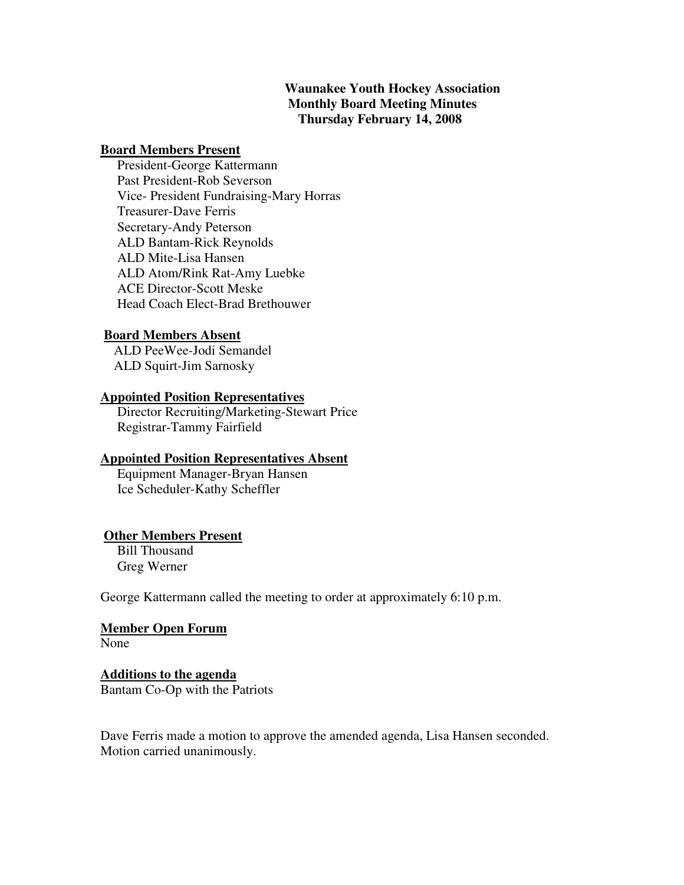# **Waunakee Youth Hockey Association Monthly Board Meeting Minutes Thursday February 14, 2008**

#### **Board Members Present**

 President-George Kattermann Past President-Rob Severson Vice- President Fundraising-Mary Horras Treasurer-Dave Ferris Secretary-Andy Peterson ALD Bantam-Rick Reynolds ALD Mite-Lisa Hansen ALD Atom/Rink Rat-Amy Luebke ACE Director-Scott Meske Head Coach Elect-Brad Brethouwer

#### **Board Members Absent**

 ALD PeeWee-Jodi Semandel ALD Squirt-Jim Sarnosky

#### **Appointed Position Representatives**

 Director Recruiting/Marketing-Stewart Price Registrar-Tammy Fairfield

#### **Appointed Position Representatives Absent**

 Equipment Manager-Bryan Hansen Ice Scheduler-Kathy Scheffler

#### **Other Members Present**

 Bill Thousand Greg Werner

George Kattermann called the meeting to order at approximately 6:10 p.m.

# **Member Open Forum**

None

## **Additions to the agenda** Bantam Co-Op with the Patriots

Dave Ferris made a motion to approve the amended agenda, Lisa Hansen seconded. Motion carried unanimously.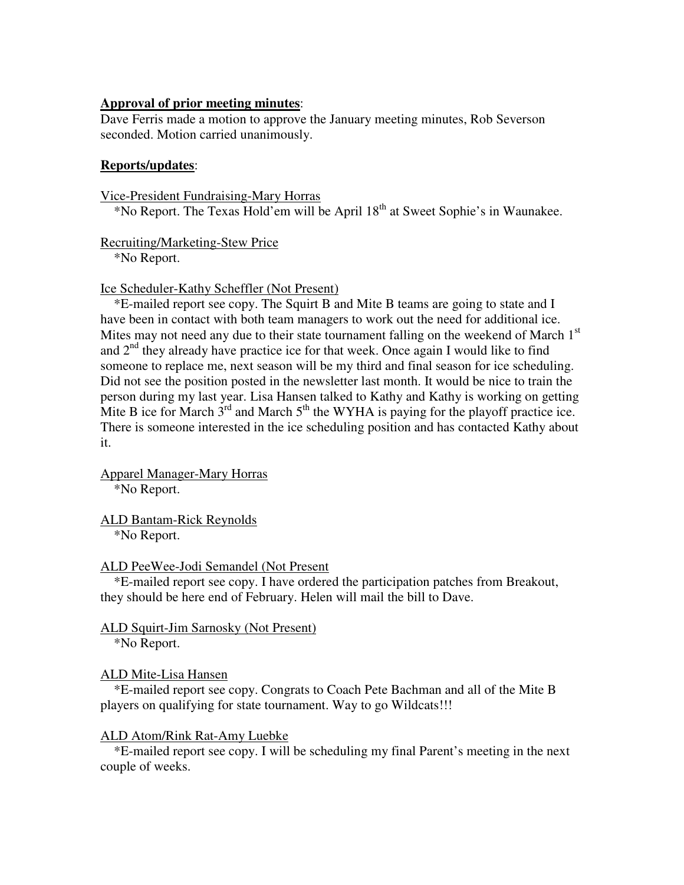#### **Approval of prior meeting minutes**:

Dave Ferris made a motion to approve the January meeting minutes, Rob Severson seconded. Motion carried unanimously.

#### **Reports/updates**:

Vice-President Fundraising-Mary Horras \*No Report. The Texas Hold'em will be April 18th at Sweet Sophie's in Waunakee.

## Recruiting/Marketing-Stew Price

\*No Report.

## Ice Scheduler-Kathy Scheffler (Not Present)

 \*E-mailed report see copy. The Squirt B and Mite B teams are going to state and I have been in contact with both team managers to work out the need for additional ice. Mites may not need any due to their state tournament falling on the weekend of March  $1<sup>st</sup>$ and  $2<sup>nd</sup>$  they already have practice ice for that week. Once again I would like to find someone to replace me, next season will be my third and final season for ice scheduling. Did not see the position posted in the newsletter last month. It would be nice to train the person during my last year. Lisa Hansen talked to Kathy and Kathy is working on getting Mite B ice for March 3<sup>rd</sup> and March 5<sup>th</sup> the WYHA is paying for the playoff practice ice. There is someone interested in the ice scheduling position and has contacted Kathy about it.

Apparel Manager-Mary Horras \*No Report.

ALD Bantam-Rick Reynolds \*No Report.

#### ALD PeeWee-Jodi Semandel (Not Present

 \*E-mailed report see copy. I have ordered the participation patches from Breakout, they should be here end of February. Helen will mail the bill to Dave.

# ALD Squirt-Jim Sarnosky (Not Present)

\*No Report.

# ALD Mite-Lisa Hansen

 \*E-mailed report see copy. Congrats to Coach Pete Bachman and all of the Mite B players on qualifying for state tournament. Way to go Wildcats!!!

#### ALD Atom/Rink Rat-Amy Luebke

 \*E-mailed report see copy. I will be scheduling my final Parent's meeting in the next couple of weeks.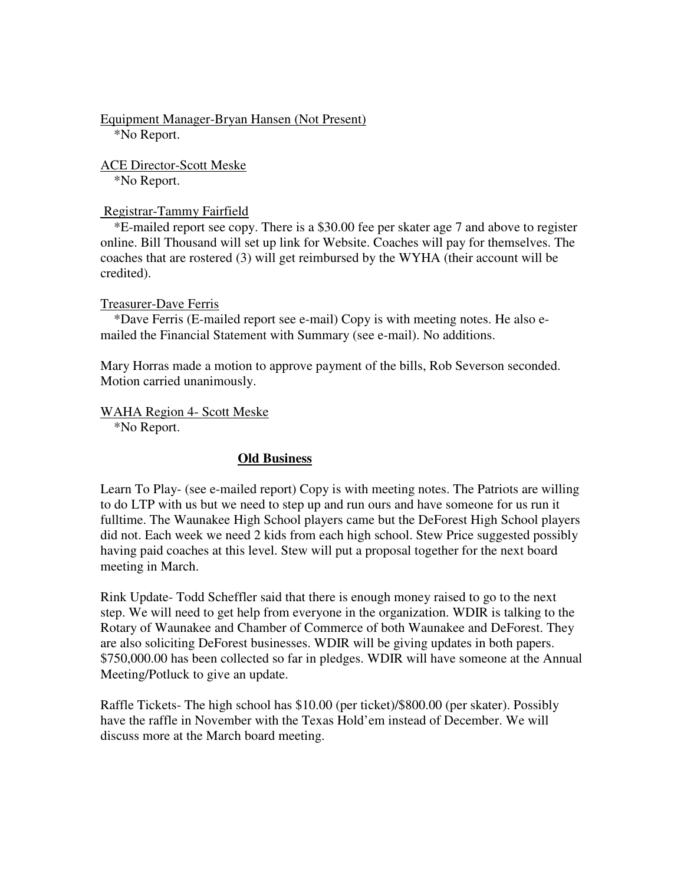Equipment Manager-Bryan Hansen (Not Present) \*No Report.

ACE Director-Scott Meske \*No Report.

Registrar-Tammy Fairfield

 \*E-mailed report see copy. There is a \$30.00 fee per skater age 7 and above to register online. Bill Thousand will set up link for Website. Coaches will pay for themselves. The coaches that are rostered (3) will get reimbursed by the WYHA (their account will be credited).

#### Treasurer-Dave Ferris

 \*Dave Ferris (E-mailed report see e-mail) Copy is with meeting notes. He also emailed the Financial Statement with Summary (see e-mail). No additions.

Mary Horras made a motion to approve payment of the bills, Rob Severson seconded. Motion carried unanimously.

WAHA Region 4- Scott Meske

\*No Report.

#### **Old Business**

Learn To Play- (see e-mailed report) Copy is with meeting notes. The Patriots are willing to do LTP with us but we need to step up and run ours and have someone for us run it fulltime. The Waunakee High School players came but the DeForest High School players did not. Each week we need 2 kids from each high school. Stew Price suggested possibly having paid coaches at this level. Stew will put a proposal together for the next board meeting in March.

Rink Update- Todd Scheffler said that there is enough money raised to go to the next step. We will need to get help from everyone in the organization. WDIR is talking to the Rotary of Waunakee and Chamber of Commerce of both Waunakee and DeForest. They are also soliciting DeForest businesses. WDIR will be giving updates in both papers. \$750,000.00 has been collected so far in pledges. WDIR will have someone at the Annual Meeting/Potluck to give an update.

Raffle Tickets- The high school has \$10.00 (per ticket)/\$800.00 (per skater). Possibly have the raffle in November with the Texas Hold'em instead of December. We will discuss more at the March board meeting.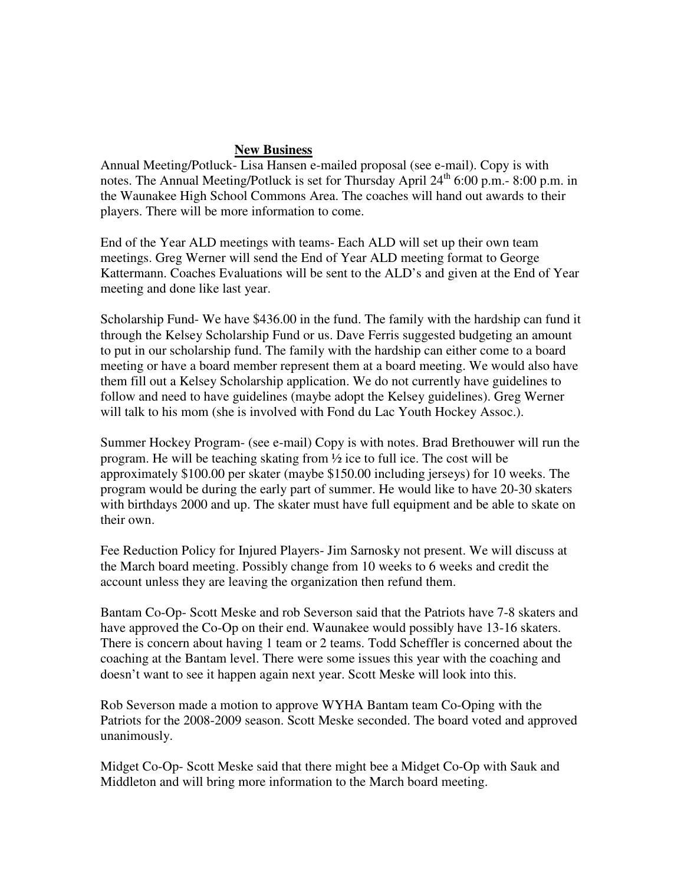## **New Business**

Annual Meeting/Potluck- Lisa Hansen e-mailed proposal (see e-mail). Copy is with notes. The Annual Meeting/Potluck is set for Thursday April  $24<sup>th</sup> 6:00$  p.m. - 8:00 p.m. in the Waunakee High School Commons Area. The coaches will hand out awards to their players. There will be more information to come.

End of the Year ALD meetings with teams- Each ALD will set up their own team meetings. Greg Werner will send the End of Year ALD meeting format to George Kattermann. Coaches Evaluations will be sent to the ALD's and given at the End of Year meeting and done like last year.

Scholarship Fund- We have \$436.00 in the fund. The family with the hardship can fund it through the Kelsey Scholarship Fund or us. Dave Ferris suggested budgeting an amount to put in our scholarship fund. The family with the hardship can either come to a board meeting or have a board member represent them at a board meeting. We would also have them fill out a Kelsey Scholarship application. We do not currently have guidelines to follow and need to have guidelines (maybe adopt the Kelsey guidelines). Greg Werner will talk to his mom (she is involved with Fond du Lac Youth Hockey Assoc.).

Summer Hockey Program- (see e-mail) Copy is with notes. Brad Brethouwer will run the program. He will be teaching skating from ½ ice to full ice. The cost will be approximately \$100.00 per skater (maybe \$150.00 including jerseys) for 10 weeks. The program would be during the early part of summer. He would like to have 20-30 skaters with birthdays 2000 and up. The skater must have full equipment and be able to skate on their own.

Fee Reduction Policy for Injured Players- Jim Sarnosky not present. We will discuss at the March board meeting. Possibly change from 10 weeks to 6 weeks and credit the account unless they are leaving the organization then refund them.

Bantam Co-Op- Scott Meske and rob Severson said that the Patriots have 7-8 skaters and have approved the Co-Op on their end. Waunakee would possibly have 13-16 skaters. There is concern about having 1 team or 2 teams. Todd Scheffler is concerned about the coaching at the Bantam level. There were some issues this year with the coaching and doesn't want to see it happen again next year. Scott Meske will look into this.

Rob Severson made a motion to approve WYHA Bantam team Co-Oping with the Patriots for the 2008-2009 season. Scott Meske seconded. The board voted and approved unanimously.

Midget Co-Op- Scott Meske said that there might bee a Midget Co-Op with Sauk and Middleton and will bring more information to the March board meeting.